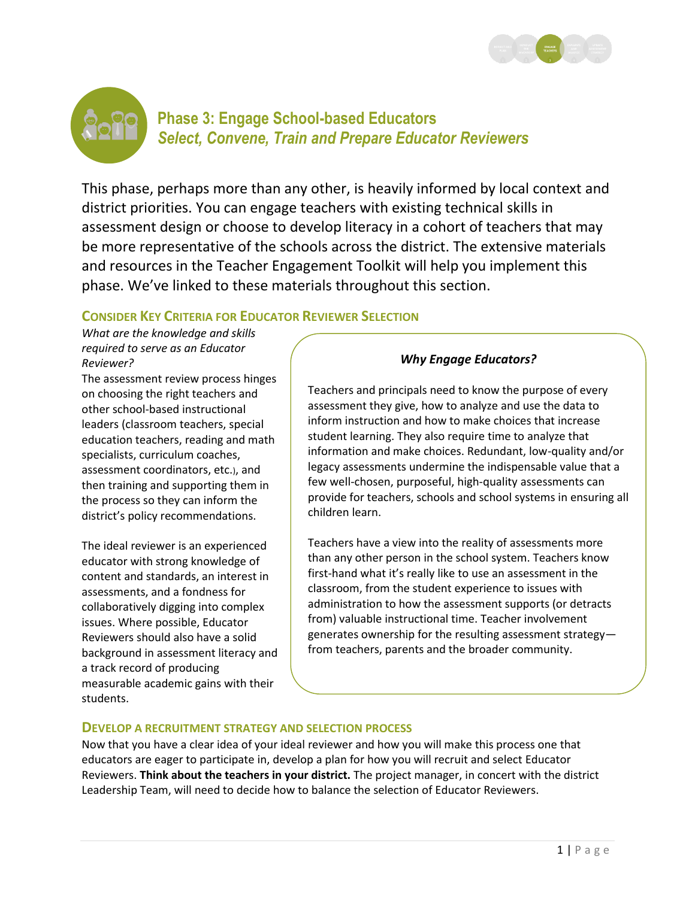



# **Phase 3: Engage School-based Educators** *Select, Convene, Train and Prepare Educator Reviewers*

This phase, perhaps more than any other, is heavily informed by local context and district priorities. You can engage teachers with existing technical skills in assessment design or choose to develop literacy in a cohort of teachers that may be more representative of the schools across the district. The extensive materials and resources in the Teacher Engagement Toolkit will help you implement this phase. We've linked to these materials throughout this section.

## **CONSIDER KEY CRITERIA FOR EDUCATOR REVIEWER SELECTION**

*What are the knowledge and skills required to serve as an Educator Reviewer?*

The assessment review process hinges on choosing the right teachers and other school-based instructional leaders (classroom teachers, special education teachers, reading and math specialists, curriculum coaches, assessment coordinators, etc.), and then training and supporting them in the process so they can inform the district's policy recommendations.

The ideal reviewer is an experienced educator with strong knowledge of content and standards, an interest in assessments, and a fondness for collaboratively digging into complex issues. Where possible, Educator Reviewers should also have a solid background in assessment literacy and a track record of producing measurable academic gains with their students.

## *Why Engage Educators?*

Teachers and principals need to know the purpose of every assessment they give, how to analyze and use the data to inform instruction and how to make choices that increase student learning. They also require time to analyze that information and make choices. Redundant, low-quality and/or legacy assessments undermine the indispensable value that a few well-chosen, purposeful, high-quality assessments can provide for teachers, schools and school systems in ensuring all children learn.

Teachers have a view into the reality of assessments more than any other person in the school system. Teachers know first-hand what it's really like to use an assessment in the classroom, from the student experience to issues with administration to how the assessment supports (or detracts from) valuable instructional time. Teacher involvement generates ownership for the resulting assessment strategy from teachers, parents and the broader community.

## **DEVELOP A RECRUITMENT STRATEGY AND SELECTION PROCESS**

Now that you have a clear idea of your ideal reviewer and how you will make this process one that educators are eager to participate in, develop a plan for how you will recruit and select Educator Reviewers. **Think about the teachers in your district.** The project manager, in concert with the district Leadership Team, will need to decide how to balance the selection of Educator Reviewers.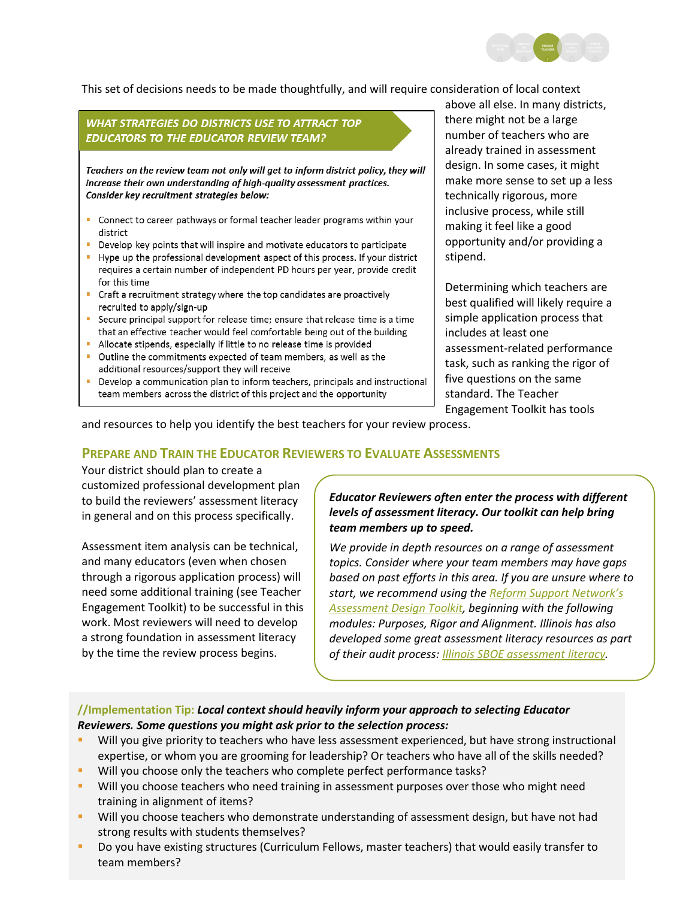

This set of decisions needs to be made thoughtfully, and will require consideration of local context

#### **WHAT STRATEGIES DO DISTRICTS USE TO ATTRACT TOP EDUCATORS TO THE EDUCATOR REVIEW TEAM?** Teachers on the review team not only will get to inform district policy, they will increase their own understanding of high-quality assessment practices. Consider key recruitment strategies below: • Connect to career pathways or formal teacher leader programs within your district • Develop key points that will inspire and motivate educators to participate Hype up the professional development aspect of this process. If your district requires a certain number of independent PD hours per year, provide credit for this time - Craft a recruitment strategy where the top candidates are proactively recruited to apply/sign-up • Secure principal support for release time; ensure that release time is a time that an effective teacher would feel comfortable being out of the building Allocate stipends, especially if little to no release time is provided • Outline the commitments expected of team members, as well as the additional resources/support they will receive

• Develop a communication plan to inform teachers, principals and instructional team members across the district of this project and the opportunity

above all else. In many districts, there might not be a large number of teachers who are already trained in assessment design. In some cases, it might make more sense to set up a less technically rigorous, more inclusive process, while still making it feel like a good opportunity and/or providing a stipend.

Determining which teachers are best qualified will likely require a simple application process that includes at least one assessment-related performance task, such as ranking the rigor of five questions on the same standard. The Teacher Engagement Toolkit has tools

and resources to help you identify the best teachers for your review process.

### **PREPARE AND TRAIN THE EDUCATOR REVIEWERS TO EVALUATE ASSESSMENTS**

Your district should plan to create a customized professional development plan to build the reviewers' assessment literacy in general and on this process specifically.

Assessment item analysis can be technical, and many educators (even when chosen through a rigorous application process) will need some additional training (see Teacher Engagement Toolkit) to be successful in this work. Most reviewers will need to develop a strong foundation in assessment literacy by the time the review process begins.

*Educator Reviewers often enter the process with different levels of assessment literacy. Our toolkit can help bring team members up to speed.*

*We provide in depth resources on a range of assessment topics. Consider where your team members may have gaps based on past efforts in this area. If you are unsure where to start, we recommend using the [Reform Support Network's](http://csai-online.org/spotlight/assessment-design-toolkit)  [Assessment Design Toolkit,](http://csai-online.org/spotlight/assessment-design-toolkit) beginning with the following modules: Purposes, Rigor and Alignment. Illinois has also developed some great assessment literacy resources as part of their audit process[: Illinois SBOE assessment literacy.](http://206.166.104.113/Moodle/login/index.php)*

#### **//Implementation Tip:** *Local context should heavily inform your approach to selecting Educator Reviewers. Some questions you might ask prior to the selection process:*

- Will you give priority to teachers who have less assessment experienced, but have strong instructional expertise, or whom you are grooming for leadership? Or teachers who have all of the skills needed?
- Will you choose only the teachers who complete perfect performance tasks?
- Will you choose teachers who need training in assessment purposes over those who might need training in alignment of items?
- Will you choose teachers who demonstrate understanding of assessment design, but have not had strong results with students themselves?
- Do you have existing structures (Curriculum Fellows, master teachers) that would easily transfer to team members?